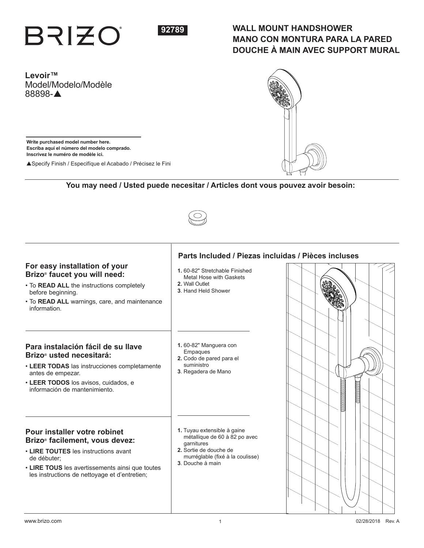



# **WALL MOUNT HANDSHOWER MANO CON MONTURA PARA LA PARED DOUCHE À MAIN AVEC SUPPORT MURAL**

**Levoir™** Model/Modelo/Modèle 88898-A

**Write purchased model number here. Escriba aquí el número del modelo comprado. Inscrivez le numéro de modèle ici.**

▲ Specify Finish / Especifíque el Acabado / Précisez le Fini

# **You may need / Usted puede necesitar / Articles dont vous pouvez avoir besoin:**



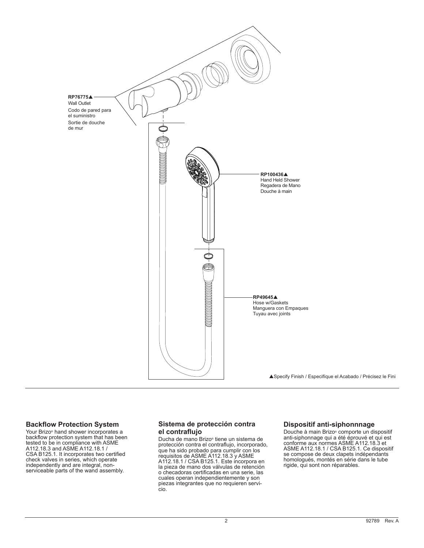

## **Backflow Protection System**

Your Brizo® hand shower incorporates a backflow protection system that has been tested to be in compliance with ASME A112.18.3 and ASME A112.18.1 / CSA B125.1. It incorporates two certified check valves in series, which operate independently and are integral, nonserviceable parts of the wand assembly.

# **Sistema de protección contra el contraflujo**

Ducha de mano Brizo® tiene un sistema de protección contra el contraflujo, incorporado, que ha sido probado para cumplir con los requisitos de ASME A112.18.3 y ASME A112.18.1 / CSA B125.1. Este incorpora en la pieza de mano dos válvulas de retención o checadoras certificadas en una serie, las cuales operan independientemente y son piezas integrantes que no requieren servicio.

# **Dispositif anti-siphonnnage**

Douche à main Brizo® comporte un dispositif anti-siphonnage qui a été éprouvé et qui est conforme aux normes ASME A112.18.3 et ASME A112.18.1 / CSA B125.1. Ce dispositif se compose de deux clapets indépendants homologués, montés en série dans le tube rigide, qui sont non réparables.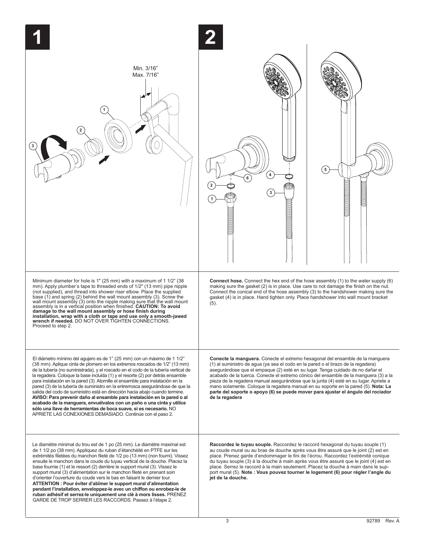| Min. 3/16"<br>Max. 7/16"                                                                                                                                                                                                                                                                                                                                                                                                                                                                                                                                                                                                                                                                                                                                                                                                                                               | 5<br>3                                                                                                                                                                                                                                                                                                                                                                                                                                                                                                                                                                                                                           |
|------------------------------------------------------------------------------------------------------------------------------------------------------------------------------------------------------------------------------------------------------------------------------------------------------------------------------------------------------------------------------------------------------------------------------------------------------------------------------------------------------------------------------------------------------------------------------------------------------------------------------------------------------------------------------------------------------------------------------------------------------------------------------------------------------------------------------------------------------------------------|----------------------------------------------------------------------------------------------------------------------------------------------------------------------------------------------------------------------------------------------------------------------------------------------------------------------------------------------------------------------------------------------------------------------------------------------------------------------------------------------------------------------------------------------------------------------------------------------------------------------------------|
| Minimum diameter for hole is 1" (25 mm) with a maximum of 1 1/2" (38<br>mm). Apply plumber's tape to threaded ends of 1/2" (13 mm) pipe nipple<br>(not supplied), and thread into shower riser elbow. Place the supplied<br>base (1) and spring (2) behind the wall mount assembly (3). Screw the<br>wall mount assembly (3) onto the nipple making sure that the wall mount<br>assembly is in a vertical position when finished. CAUTION: To avoid damage to the wall mount assembly or hose finish during<br>installation, wrap with a cloth or tape and use only a smooth-jawed<br>wrench if needed. DO NOT OVER TIGHTEN CONNECTIONS.<br>Proceed to step 2.                                                                                                                                                                                                         | <b>Connect hose.</b> Connect the hex end of the hose assembly (1) to the water supply (6)<br>making sure the gasket (2) is in place. Use care to not damage the finish on the nut.<br>Connect the conical end of the hose assembly (3) to the handshower making sure the<br>gasket (4) is in place. Hand tighten only. Place handshower into wall mount bracket<br>(5).                                                                                                                                                                                                                                                          |
| El diámetro mínimo del agujero es de 1" (25 mm) con un máximo de 1 1/2"<br>(38 mm). Aplique cinta de plomero en los extremos roscados de 1/2" (13 mm)<br>de la tubería (no suministrada), y el roscado en el codo de la tubería vertical de<br>la regadera. Coloque la base incluida (1) y el resorte (2) por detrás ensamble<br>para inslatación en la pared (3). Atornille el ensamble para inslatación en la<br>pared (3) de la tubería de suministro en la entrerrosca asegurándose de que la<br>salida del codo de suministro está en dirección hacia abajo cuando termine.<br>AVISO: Para prevenir daño al ensamble para instalación en la pared o al<br>acabado de la manguera, envuélvalos con un paño o una cinta y utilice<br>sólo una llave de herramientas de boca suave, si es necesario. NO<br>APRIETE LAS CONEXIONES DEMASIADO. Continúe con el paso 2. | Conecte la manguera. Conecte el extremo hexagonal del ensamble de la manguera<br>(1) al suministro de agua (ya sea el codo en la pared o el brazo de la regadera)<br>asegurándose que el empaque (2) esté en su lugar. Tenga cuidado de no dañar el<br>acabado de la tuerca. Conecte el extremo cónico del ensamble de la manguera (3) a la<br>pieza de la regadera manual asegurándose que la junta (4) esté en su lugar. Apriete a<br>mano solamente. Coloque la regadera manual en su soporte en la pared (5). Nota: La<br>parte del soporte o apoyo (6) se puede mover para ajustar el ángulo del rociador<br>de la regadera |
| Le diamètre minimal du trou est de 1 po (25 mm). Le diamètre maximal est<br>de 1 1/2 po (38 mm). Appliquez du ruban d'étanchéité en PTFE sur les<br>extrémités filetées du manchon fileté de 1/2 po (13 mm) (non fourni). Vissez<br>ensuite le manchon dans le coude du tuyau vertical de la douche. Placez la<br>base fournie (1) et le ressort (2) derrière le support mural (3). Vissez le<br>support mural (3) d'alimentation sur le manchon fileté en prenant soin<br>d'orienter l'ouverture du coude vers le bas en faisant le dernier tour.<br>ATTENTION : Pour éviter d'abîmer le support mural d'alimentation                                                                                                                                                                                                                                                 | Raccordez le tuyau souple. Raccordez le raccord hexagonal du tuyau souple (1)<br>au coude mural ou au bras de douche après vous être assuré que le joint (2) est en<br>place. Prenez garde d'endommager le fini de l'écrou. Raccordez l'extrémité conique<br>du tuyau souple (3) à la douche à main après vous être assuré que le joint (4) est en<br>place. Serrez le raccord à la main seulement. Placez la douche à main dans le sup-<br>port mural (5). Note: Vous pouvez tourner le logement (6) pour régler l'angle du<br>jet de la douche.                                                                                |

**pendant l'installation, enveloppez-le avec un chiffon ou enrobez-le de ruban adhésif et serrez-le uniquement une clé à mors lisses.** PRENEZ GARDE DE TROP SERRER LES RACCORDS. Passez à l'étape 2.